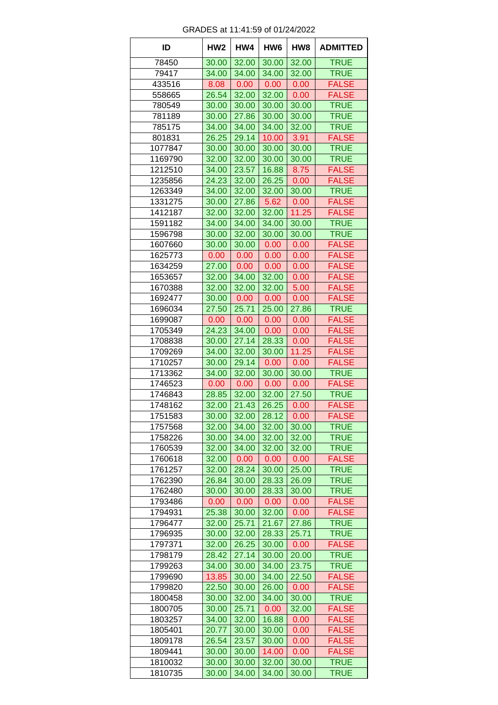| ID      | HW <sub>2</sub> | HW4   | HW <sub>6</sub> | HW <sub>8</sub> | <b>ADMITTED</b> |
|---------|-----------------|-------|-----------------|-----------------|-----------------|
| 78450   | 30.00           | 32.00 | 30.00           | 32.00           | <b>TRUE</b>     |
| 79417   | 34.00           | 34.00 | 34.00           | 32.00           | <b>TRUE</b>     |
| 433516  | 8.08            | 0.00  | 0.00            | 0.00            | <b>FALSE</b>    |
| 558665  | 26.54           | 32.00 | 32.00           | 0.00            | <b>FALSE</b>    |
| 780549  | 30.00           | 30.00 | 30.00           | 30.00           | <b>TRUE</b>     |
| 781189  | 30.00           | 27.86 | 30.00           | 30.00           | <b>TRUE</b>     |
| 785175  | 34.00           | 34.00 | 34.00           | 32.00           | <b>TRUE</b>     |
| 801831  | 26.25           | 29.14 | 10.00           | 3.91            | <b>FALSE</b>    |
| 1077847 | 30.00           | 30.00 | 30.00           | 30.00           | <b>TRUE</b>     |
| 1169790 | 32.00           | 32.00 | 30.00           | 30.00           | <b>TRUE</b>     |
| 1212510 | 34.00           | 23.57 | 16.88           | 8.75            | <b>FALSE</b>    |
| 1235856 | 24.23           | 32.00 | 26.25           | 0.00            | <b>FALSE</b>    |
| 1263349 | 34.00           | 32.00 | 32.00           | 30.00           | <b>TRUE</b>     |
| 1331275 | 30.00           | 27.86 | 5.62            | 0.00            | <b>FALSE</b>    |
| 1412187 | 32.00           | 32.00 | 32.00           | 11.25           | <b>FALSE</b>    |
| 1591182 | 34.00           | 34.00 | 34.00           | 30.00           | <b>TRUE</b>     |
| 1596798 | 30.00           | 32.00 | 30.00           | 30.00           | <b>TRUE</b>     |
| 1607660 | 30.00           | 30.00 | 0.00            | 0.00            | <b>FALSE</b>    |
| 1625773 | 0.00            | 0.00  | 0.00            | 0.00            | <b>FALSE</b>    |
| 1634259 | 27.00           | 0.00  | 0.00            | 0.00            | <b>FALSE</b>    |
| 1653657 | 32.00           | 34.00 | 32.00           | 0.00            | <b>FALSE</b>    |
| 1670388 | 32.00           | 32.00 | 32.00           | 5.00            | <b>FALSE</b>    |
| 1692477 | 30.00           | 0.00  | 0.00            | 0.00            | <b>FALSE</b>    |
| 1696034 | 27.50           | 25.71 | 25.00           | 27.86           | <b>TRUE</b>     |
| 1699087 | 0.00            | 0.00  | 0.00            | 0.00            | <b>FALSE</b>    |
| 1705349 | 24.23           | 34.00 | 0.00            | 0.00            | <b>FALSE</b>    |
| 1708838 | 30.00           | 27.14 | 28.33           | 0.00            | <b>FALSE</b>    |
| 1709269 | 34.00           | 32.00 | 30.00           | 11.25           | <b>FALSE</b>    |
| 1710257 | 30.00           | 29.14 | 0.00            | 0.00            | <b>FALSE</b>    |
| 1713362 | 34.00           | 32.00 | 30.00           | 30.00           | <b>TRUE</b>     |
| 1746523 | 0.00            | 0.00  | 0.00            | 0.00            | <b>FALSE</b>    |
| 1746843 | 28.85           | 32.00 | 32.00           | 27.50           | <b>TRUE</b>     |
| 1748162 | 32.00           | 21.43 | 26.25           | 0.00            | <b>FALSE</b>    |
| 1751583 | 30.00           | 32.00 | 28.12           | 0.00            | <b>FALSE</b>    |
| 1757568 | 32.00           | 34.00 | 32.00           | 30.00           | <b>TRUE</b>     |
| 1758226 | 30.00           | 34.00 | 32.00           | 32.00           | <b>TRUE</b>     |
| 1760539 | 32.00           | 34.00 | 32.00           | 32.00           | <b>TRUE</b>     |
| 1760618 | 32.00           | 0.00  | 0.00            | 0.00            | <b>FALSE</b>    |
| 1761257 | 32.00           | 28.24 | 30.00           | 25.00           | <b>TRUE</b>     |
| 1762390 | 26.84           | 30.00 | 28.33           | 26.09           | <b>TRUE</b>     |
| 1762480 | 30.00           | 30.00 | 28.33           | 30.00           | <b>TRUE</b>     |
| 1793486 | 0.00            | 0.00  | 0.00            | 0.00            | <b>FALSE</b>    |
| 1794931 | 25.38           | 30.00 | 32.00           | 0.00            | <b>FALSE</b>    |
| 1796477 | 32.00           | 25.71 | 21.67           | 27.86           | <b>TRUE</b>     |
| 1796935 | 30.00           | 32.00 | 28.33           | 25.71           | <b>TRUE</b>     |
| 1797371 | 32.00           | 26.25 | 30.00           | 0.00            | <b>FALSE</b>    |
| 1798179 | 28.42           | 27.14 | 30.00           | 20.00           | <b>TRUE</b>     |
| 1799263 | 34.00           | 30.00 | 34.00           | 23.75           | <b>TRUE</b>     |
| 1799690 | 13.85           | 30.00 | 34.00           | 22.50           | <b>FALSE</b>    |
| 1799820 | 22.50           | 30.00 | 26.00           | 0.00            | <b>FALSE</b>    |
| 1800458 | 30.00           | 32.00 | 34.00           | 30.00           | <b>TRUE</b>     |
| 1800705 | 30.00           | 25.71 | 0.00            | 32.00           | <b>FALSE</b>    |
| 1803257 | 34.00           | 32.00 | 16.88           | 0.00            | <b>FALSE</b>    |
| 1805401 | 20.77           | 30.00 | 30.00           | 0.00            | <b>FALSE</b>    |
| 1809178 |                 |       | 30.00           |                 |                 |
|         | 26.54           | 23.57 |                 | 0.00            | <b>FALSE</b>    |
| 1809441 | 30.00           | 30.00 | 14.00           | 0.00            | <b>FALSE</b>    |
| 1810032 | 30.00           | 30.00 | 32.00           | 30.00           | <b>TRUE</b>     |
| 1810735 | 30.00           | 34.00 | 34.00           | 30.00           | <b>TRUE</b>     |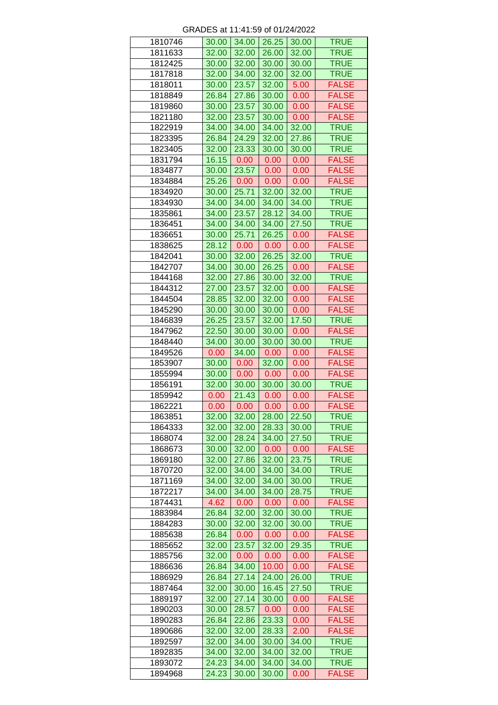| 1810746 | 30.00 | 34.00 | 26.25 | 30.00 | <b>TRUE</b>  |
|---------|-------|-------|-------|-------|--------------|
| 1811633 | 32.00 | 32.00 | 26.00 | 32.00 | <b>TRUE</b>  |
| 1812425 | 30.00 | 32.00 | 30.00 | 30.00 | <b>TRUE</b>  |
| 1817818 | 32.00 | 34.00 | 32.00 | 32.00 | <b>TRUE</b>  |
| 1818011 | 30.00 | 23.57 | 32.00 | 5.00  | <b>FALSE</b> |
| 1818849 | 26.84 | 27.86 | 30.00 | 0.00  | <b>FALSE</b> |
| 1819860 | 30.00 | 23.57 | 30.00 | 0.00  | <b>FALSE</b> |
| 1821180 | 32.00 | 23.57 | 30.00 | 0.00  | <b>FALSE</b> |
| 1822919 | 34.00 | 34.00 | 34.00 | 32.00 | <b>TRUE</b>  |
| 1823395 | 26.84 | 24.29 | 32.00 | 27.86 | <b>TRUE</b>  |
| 1823405 | 32.00 | 23.33 | 30.00 | 30.00 | <b>TRUE</b>  |
|         |       |       |       |       |              |
| 1831794 | 16.15 | 0.00  | 0.00  | 0.00  | <b>FALSE</b> |
| 1834877 | 30.00 | 23.57 | 0.00  | 0.00  | <b>FALSE</b> |
| 1834884 | 25.26 | 0.00  | 0.00  | 0.00  | <b>FALSE</b> |
| 1834920 | 30.00 | 25.71 | 32.00 | 32.00 | <b>TRUE</b>  |
| 1834930 | 34.00 | 34.00 | 34.00 | 34.00 | <b>TRUE</b>  |
| 1835861 | 34.00 | 23.57 | 28.12 | 34.00 | <b>TRUE</b>  |
| 1836451 | 34.00 | 34.00 | 34.00 | 27.50 | <b>TRUE</b>  |
| 1836651 | 30.00 | 25.71 | 26.25 | 0.00  | <b>FALSE</b> |
| 1838625 | 28.12 | 0.00  | 0.00  | 0.00  | <b>FALSE</b> |
| 1842041 | 30.00 | 32.00 | 26.25 | 32.00 | <b>TRUE</b>  |
| 1842707 | 34.00 | 30.00 | 26.25 | 0.00  | <b>FALSE</b> |
| 1844168 | 32.00 | 27.86 | 30.00 | 32.00 | <b>TRUE</b>  |
| 1844312 | 27.00 | 23.57 | 32.00 | 0.00  | <b>FALSE</b> |
| 1844504 | 28.85 | 32.00 | 32.00 | 0.00  | <b>FALSE</b> |
| 1845290 | 30.00 | 30.00 | 30.00 | 0.00  | <b>FALSE</b> |
| 1846839 | 26.25 | 23.57 | 32.00 | 17.50 | <b>TRUE</b>  |
|         |       |       |       |       |              |
| 1847962 | 22.50 | 30.00 | 30.00 | 0.00  | <b>FALSE</b> |
| 1848440 | 34.00 | 30.00 | 30.00 | 30.00 | <b>TRUE</b>  |
| 1849526 | 0.00  | 34.00 | 0.00  | 0.00  | <b>FALSE</b> |
| 1853907 | 30.00 | 0.00  | 32.00 | 0.00  | <b>FALSE</b> |
| 1855994 | 30.00 | 0.00  | 0.00  | 0.00  | <b>FALSE</b> |
| 1856191 | 32.00 | 30.00 | 30.00 | 30.00 | <b>TRUE</b>  |
| 1859942 | 0.00  | 21.43 | 0.00  | 0.00  | <b>FALSE</b> |
| 1862221 | 0.00  | 0.00  | 0.00  | 0.00  | <b>FALSE</b> |
| 1863851 | 32.00 | 32.00 | 28.00 | 22.50 | <b>TRUE</b>  |
| 1864333 | 32.00 | 32.00 | 28.33 | 30.00 | <b>TRUE</b>  |
| 1868074 | 32.00 | 28.24 | 34.00 | 27.50 | <b>TRUE</b>  |
| 1868673 | 30.00 | 32.00 | 0.00  | 0.00  | <b>FALSE</b> |
| 1869180 | 32.00 | 27.86 | 32.00 | 23.75 | TRUE         |
| 1870720 | 32.00 | 34.00 | 34.00 | 34.00 | <b>TRUE</b>  |
| 1871169 | 34.00 | 32.00 | 34.00 | 30.00 | <b>TRUE</b>  |
| 1872217 |       |       |       |       |              |
|         | 34.00 | 34.00 | 34.00 | 28.75 | <b>TRUE</b>  |
| 1874431 | 4.62  | 0.00  | 0.00  | 0.00  | <b>FALSE</b> |
| 1883984 | 26.84 | 32.00 | 32.00 | 30.00 | <b>TRUE</b>  |
| 1884283 | 30.00 | 32.00 | 32.00 | 30.00 | <b>TRUE</b>  |
| 1885638 | 26.84 | 0.00  | 0.00  | 0.00  | <b>FALSE</b> |
| 1885652 | 32.00 | 23.57 | 32.00 | 29.35 | <b>TRUE</b>  |
| 1885756 | 32.00 | 0.00  | 0.00  | 0.00  | <b>FALSE</b> |
| 1886636 | 26.84 | 34.00 | 10.00 | 0.00  | <b>FALSE</b> |
| 1886929 | 26.84 | 27.14 | 24.00 | 26.00 | <b>TRUE</b>  |
| 1887464 | 32.00 | 30.00 | 16.45 | 27.50 | <b>TRUE</b>  |
| 1889197 | 32.00 | 27.14 | 30.00 | 0.00  | <b>FALSE</b> |
| 1890203 | 30.00 | 28.57 | 0.00  | 0.00  | <b>FALSE</b> |
| 1890283 | 26.84 | 22.86 | 23.33 | 0.00  | <b>FALSE</b> |
| 1890686 | 32.00 | 32.00 | 28.33 | 2.00  | <b>FALSE</b> |
| 1892597 | 32.00 | 34.00 | 30.00 | 34.00 | <b>TRUE</b>  |
| 1892835 | 34.00 | 32.00 | 34.00 | 32.00 | <b>TRUE</b>  |
|         |       |       |       |       |              |
| 1893072 | 24.23 | 34.00 | 34.00 | 34.00 | <b>TRUE</b>  |
| 1894968 | 24.23 | 30.00 | 30.00 | 0.00  | <b>FALSE</b> |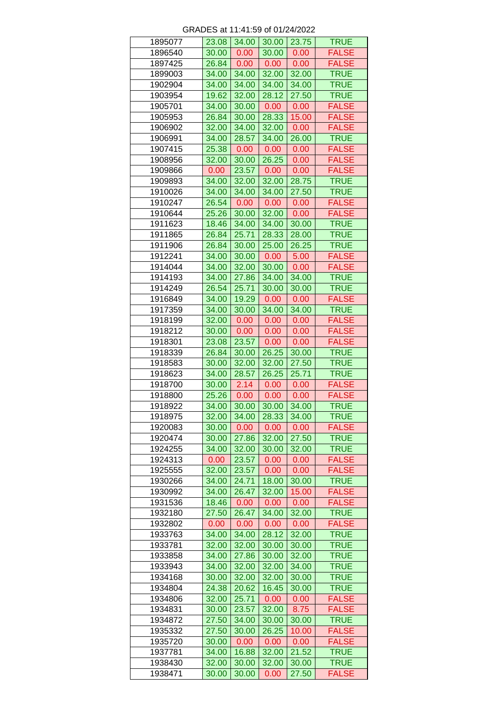| 1895077 | 23.08 | 34.00 | 30.00 | 23.75 | <b>TRUE</b>  |
|---------|-------|-------|-------|-------|--------------|
| 1896540 | 30.00 | 0.00  | 30.00 | 0.00  | <b>FALSE</b> |
| 1897425 | 26.84 | 0.00  | 0.00  | 0.00  | <b>FALSE</b> |
| 1899003 | 34.00 | 34.00 | 32.00 | 32.00 | <b>TRUE</b>  |
| 1902904 | 34.00 | 34.00 | 34.00 | 34.00 | <b>TRUE</b>  |
| 1903954 | 19.62 | 32.00 | 28.12 | 27.50 | <b>TRUE</b>  |
| 1905701 | 34.00 | 30.00 | 0.00  | 0.00  | <b>FALSE</b> |
| 1905953 | 26.84 | 30.00 | 28.33 | 15.00 | <b>FALSE</b> |
|         |       |       |       |       |              |
| 1906902 | 32.00 | 34.00 | 32.00 | 0.00  | <b>FALSE</b> |
| 1906991 | 34.00 | 28.57 | 34.00 | 26.00 | <b>TRUE</b>  |
| 1907415 | 25.38 | 0.00  | 0.00  | 0.00  | <b>FALSE</b> |
| 1908956 | 32.00 | 30.00 | 26.25 | 0.00  | <b>FALSE</b> |
| 1909866 | 0.00  | 23.57 | 0.00  | 0.00  | <b>FALSE</b> |
| 1909893 | 34.00 | 32.00 | 32.00 | 28.75 | <b>TRUE</b>  |
| 1910026 | 34.00 | 34.00 | 34.00 | 27.50 | <b>TRUE</b>  |
| 1910247 | 26.54 | 0.00  | 0.00  | 0.00  | <b>FALSE</b> |
| 1910644 | 25.26 | 30.00 | 32.00 | 0.00  | <b>FALSE</b> |
| 1911623 | 18.46 | 34.00 | 34.00 | 30.00 | <b>TRUE</b>  |
| 1911865 | 26.84 | 25.71 | 28.33 | 28.00 | <b>TRUE</b>  |
| 1911906 | 26.84 | 30.00 | 25.00 | 26.25 | <b>TRUE</b>  |
| 1912241 | 34.00 | 30.00 | 0.00  | 5.00  | <b>FALSE</b> |
|         |       |       |       |       |              |
| 1914044 | 34.00 | 32.00 | 30.00 | 0.00  | <b>FALSE</b> |
| 1914193 | 34.00 | 27.86 | 34.00 | 34.00 | <b>TRUE</b>  |
| 1914249 | 26.54 | 25.71 | 30.00 | 30.00 | <b>TRUE</b>  |
| 1916849 | 34.00 | 19.29 | 0.00  | 0.00  | <b>FALSE</b> |
| 1917359 | 34.00 | 30.00 | 34.00 | 34.00 | <b>TRUE</b>  |
| 1918199 | 32.00 | 0.00  | 0.00  | 0.00  | <b>FALSE</b> |
| 1918212 | 30.00 | 0.00  | 0.00  | 0.00  | <b>FALSE</b> |
| 1918301 | 23.08 | 23.57 | 0.00  | 0.00  | <b>FALSE</b> |
| 1918339 | 26.84 | 30.00 | 26.25 | 30.00 | <b>TRUE</b>  |
| 1918583 | 30.00 | 32.00 | 32.00 | 27.50 | <b>TRUE</b>  |
| 1918623 | 34.00 | 28.57 | 26.25 | 25.71 | <b>TRUE</b>  |
| 1918700 | 30.00 | 2.14  | 0.00  | 0.00  | <b>FALSE</b> |
| 1918800 | 25.26 | 0.00  | 0.00  | 0.00  | <b>FALSE</b> |
| 1918922 | 34.00 | 30.00 | 30.00 | 34.00 | <b>TRUE</b>  |
|         |       |       |       |       |              |
| 1918975 | 32.00 | 34.00 | 28.33 | 34.00 | <b>TRUE</b>  |
| 1920083 | 30.00 | 0.00  | 0.00  | 0.00  | <b>FALSE</b> |
| 1920474 | 30.00 | 27.86 | 32.00 | 27.50 | <b>TRUE</b>  |
| 1924255 | 34.00 | 32.00 | 30.00 | 32.00 | <b>TRUE</b>  |
| 1924313 | 0.00  | 23.57 | 0.00  | 0.00  | <b>FALSE</b> |
| 1925555 | 32.00 | 23.57 | 0.00  | 0.00  | <b>FALSE</b> |
| 1930266 | 34.00 | 24.71 | 18.00 | 30.00 | <b>TRUE</b>  |
| 1930992 | 34.00 | 26.47 | 32.00 | 15.00 | <b>FALSE</b> |
| 1931536 | 18.46 | 0.00  | 0.00  | 0.00  | <b>FALSE</b> |
| 1932180 | 27.50 | 26.47 | 34.00 | 32.00 | <b>TRUE</b>  |
| 1932802 | 0.00  | 0.00  | 0.00  | 0.00  | <b>FALSE</b> |
| 1933763 | 34.00 | 34.00 | 28.12 | 32.00 | <b>TRUE</b>  |
| 1933781 | 32.00 | 32.00 | 30.00 | 30.00 | <b>TRUE</b>  |
| 1933858 | 34.00 | 27.86 | 30.00 | 32.00 | <b>TRUE</b>  |
| 1933943 | 34.00 | 32.00 | 32.00 | 34.00 | <b>TRUE</b>  |
|         |       |       |       |       |              |
| 1934168 | 30.00 | 32.00 | 32.00 | 30.00 | <b>TRUE</b>  |
| 1934804 | 24.38 | 20.62 | 16.45 | 30.00 | <b>TRUE</b>  |
| 1934806 | 32.00 | 25.71 | 0.00  | 0.00  | <b>FALSE</b> |
| 1934831 | 30.00 | 23.57 | 32.00 | 8.75  | <b>FALSE</b> |
| 1934872 | 27.50 | 34.00 | 30.00 | 30.00 | <b>TRUE</b>  |
| 1935332 | 27.50 | 30.00 | 26.25 | 10.00 | <b>FALSE</b> |
| 1935720 | 30.00 | 0.00  | 0.00  | 0.00  | <b>FALSE</b> |
| 1937781 | 34.00 | 16.88 | 32.00 | 21.52 | <b>TRUE</b>  |
| 1938430 | 32.00 | 30.00 | 32.00 | 30.00 | <b>TRUE</b>  |
| 1938471 | 30.00 | 30.00 | 0.00  | 27.50 | <b>FALSE</b> |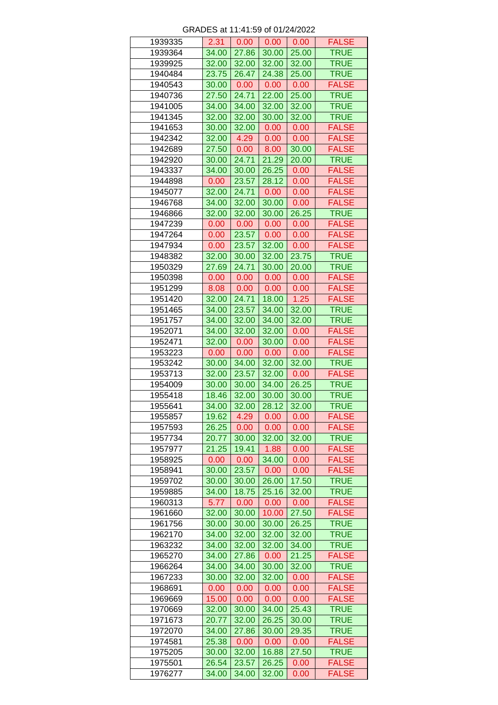| 1939335 | 2.31  | 0.00  | 0.00  | 0.00  | <b>FALSE</b> |
|---------|-------|-------|-------|-------|--------------|
| 1939364 | 34.00 | 27.86 | 30.00 | 25.00 | <b>TRUE</b>  |
| 1939925 | 32.00 | 32.00 | 32.00 | 32.00 | <b>TRUE</b>  |
| 1940484 | 23.75 | 26.47 | 24.38 | 25.00 | <b>TRUE</b>  |
| 1940543 | 30.00 | 0.00  | 0.00  | 0.00  | <b>FALSE</b> |
| 1940736 | 27.50 | 24.71 | 22.00 | 25.00 | <b>TRUE</b>  |
| 1941005 | 34.00 | 34.00 | 32.00 | 32.00 | <b>TRUE</b>  |
| 1941345 | 32.00 | 32.00 | 30.00 | 32.00 | <b>TRUE</b>  |
| 1941653 | 30.00 | 32.00 | 0.00  | 0.00  | <b>FALSE</b> |
| 1942342 | 32.00 | 4.29  | 0.00  | 0.00  | <b>FALSE</b> |
| 1942689 |       | 0.00  |       |       | <b>FALSE</b> |
|         | 27.50 |       | 8.00  | 30.00 |              |
| 1942920 | 30.00 | 24.71 | 21.29 | 20.00 | <b>TRUE</b>  |
| 1943337 | 34.00 | 30.00 | 26.25 | 0.00  | <b>FALSE</b> |
| 1944898 | 0.00  | 23.57 | 28.12 | 0.00  | <b>FALSE</b> |
| 1945077 | 32.00 | 24.71 | 0.00  | 0.00  | <b>FALSE</b> |
| 1946768 | 34.00 | 32.00 | 30.00 | 0.00  | <b>FALSE</b> |
| 1946866 | 32.00 | 32.00 | 30.00 | 26.25 | <b>TRUE</b>  |
| 1947239 | 0.00  | 0.00  | 0.00  | 0.00  | <b>FALSE</b> |
| 1947264 | 0.00  | 23.57 | 0.00  | 0.00  | <b>FALSE</b> |
| 1947934 | 0.00  | 23.57 | 32.00 | 0.00  | <b>FALSE</b> |
| 1948382 | 32.00 | 30.00 | 32.00 | 23.75 | <b>TRUE</b>  |
| 1950329 | 27.69 | 24.71 | 30.00 | 20.00 | <b>TRUE</b>  |
| 1950398 | 0.00  | 0.00  | 0.00  | 0.00  | <b>FALSE</b> |
| 1951299 | 8.08  | 0.00  | 0.00  | 0.00  | <b>FALSE</b> |
| 1951420 | 32.00 | 24.71 | 18.00 | 1.25  | <b>FALSE</b> |
| 1951465 | 34.00 | 23.57 | 34.00 | 32.00 | <b>TRUE</b>  |
| 1951757 | 34.00 | 32.00 | 34.00 | 32.00 | <b>TRUE</b>  |
| 1952071 | 34.00 | 32.00 | 32.00 | 0.00  | <b>FALSE</b> |
|         |       |       |       |       |              |
| 1952471 | 32.00 | 0.00  | 30.00 | 0.00  | <b>FALSE</b> |
| 1953223 | 0.00  | 0.00  | 0.00  | 0.00  | <b>FALSE</b> |
| 1953242 | 30.00 | 34.00 | 32.00 | 32.00 | <b>TRUE</b>  |
| 1953713 | 32.00 | 23.57 | 32.00 | 0.00  | <b>FALSE</b> |
| 1954009 | 30.00 | 30.00 | 34.00 | 26.25 | <b>TRUE</b>  |
| 1955418 | 18.46 | 32.00 | 30.00 | 30.00 | <b>TRUE</b>  |
| 1955641 | 34.00 | 32.00 | 28.12 | 32.00 | <b>TRUE</b>  |
| 1955857 | 19.62 | 4.29  | 0.00  | 0.00  | <b>FALSE</b> |
| 1957593 | 26.25 | 0.00  | 0.00  | 0.00  | <b>FALSE</b> |
| 1957734 | 20.77 | 30.00 | 32.00 | 32.00 | <b>TRUE</b>  |
| 1957977 | 21.25 | 19.41 | 1.88  | 0.00  | <b>FALSE</b> |
| 1958925 | 0.00  | 0.00  | 34.00 | 0.00  | <b>FALSE</b> |
| 1958941 | 30.00 | 23.57 | 0.00  | 0.00  | <b>FALSE</b> |
| 1959702 | 30.00 | 30.00 | 26.00 | 17.50 | <b>TRUE</b>  |
| 1959885 | 34.00 | 18.75 | 25.16 | 32.00 | <b>TRUE</b>  |
| 1960313 | 5.77  | 0.00  | 0.00  | 0.00  | <b>FALSE</b> |
| 1961660 | 32.00 | 30.00 | 10.00 | 27.50 | <b>FALSE</b> |
| 1961756 | 30.00 | 30.00 | 30.00 | 26.25 | <b>TRUE</b>  |
|         |       |       |       |       |              |
| 1962170 | 34.00 | 32.00 | 32.00 | 32.00 | <b>TRUE</b>  |
| 1963232 | 34.00 | 32.00 | 32.00 | 34.00 | <b>TRUE</b>  |
| 1965270 | 34.00 | 27.86 | 0.00  | 21.25 | <b>FALSE</b> |
| 1966264 | 34.00 | 34.00 | 30.00 | 32.00 | <b>TRUE</b>  |
| 1967233 | 30.00 | 32.00 | 32.00 | 0.00  | <b>FALSE</b> |
| 1968691 | 0.00  | 0.00  | 0.00  | 0.00  | <b>FALSE</b> |
| 1969669 | 15.00 | 0.00  | 0.00  | 0.00  | <b>FALSE</b> |
| 1970669 | 32.00 | 30.00 | 34.00 | 25.43 | <b>TRUE</b>  |
| 1971673 | 20.77 | 32.00 | 26.25 | 30.00 | <b>TRUE</b>  |
| 1972070 | 34.00 | 27.86 | 30.00 | 29.35 | <b>TRUE</b>  |
| 1974581 | 25.38 | 0.00  | 0.00  | 0.00  | <b>FALSE</b> |
| 1975205 | 30.00 | 32.00 | 16.88 | 27.50 | <b>TRUE</b>  |
| 1975501 | 26.54 | 23.57 | 26.25 | 0.00  | <b>FALSE</b> |
| 1976277 | 34.00 | 34.00 | 32.00 | 0.00  | <b>FALSE</b> |
|         |       |       |       |       |              |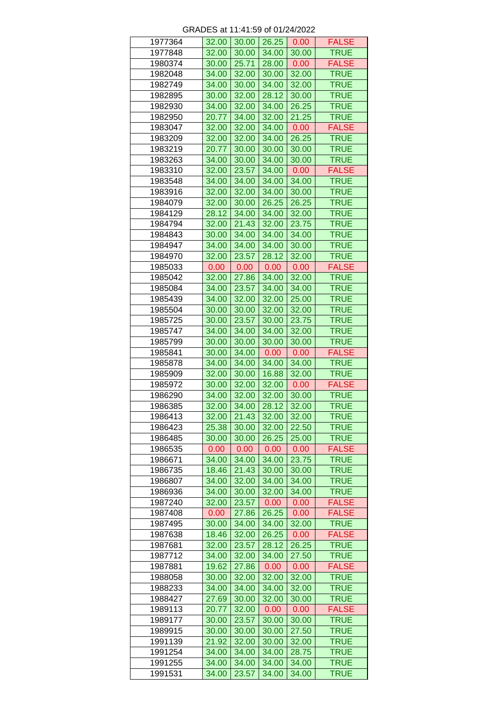| 1977364 | 32.00 | 30.00 | 26.25             | 0.00              | <b>FALSE</b> |
|---------|-------|-------|-------------------|-------------------|--------------|
| 1977848 | 32.00 | 30.00 | 34.00             | 30.00             | <b>TRUE</b>  |
| 1980374 | 30.00 | 25.71 | 28.00             | 0.00              | <b>FALSE</b> |
| 1982048 | 34.00 | 32.00 | 30.00             | 32.00             | <b>TRUE</b>  |
| 1982749 | 34.00 | 30.00 | 34.00             | 32.00             | <b>TRUE</b>  |
| 1982895 | 30.00 | 32.00 | 28.12             | 30.00             | <b>TRUE</b>  |
| 1982930 | 34.00 | 32.00 | 34.00             | 26.25             | <b>TRUE</b>  |
| 1982950 | 20.77 | 34.00 | 32.00             | 21.25             | <b>TRUE</b>  |
| 1983047 | 32.00 | 32.00 | 34.00             | 0.00              | <b>FALSE</b> |
| 1983209 | 32.00 | 32.00 | 34.00             | 26.25             | <b>TRUE</b>  |
| 1983219 | 20.77 | 30.00 | 30.00             | 30.00             | <b>TRUE</b>  |
| 1983263 | 34.00 | 30.00 | 34.00             | 30.00             | <b>TRUE</b>  |
| 1983310 | 32.00 | 23.57 | 34.00             | 0.00              | <b>FALSE</b> |
| 1983548 | 34.00 | 34.00 | 34.00             | 34.00             | <b>TRUE</b>  |
| 1983916 | 32.00 | 32.00 | 34.00             | 30.00             | <b>TRUE</b>  |
| 1984079 | 32.00 | 30.00 | 26.25             | 26.25             | <b>TRUE</b>  |
| 1984129 | 28.12 | 34.00 | 34.00             | 32.00             | <b>TRUE</b>  |
| 1984794 | 32.00 | 21.43 | 32.00             | 23.75             | <b>TRUE</b>  |
| 1984843 | 30.00 | 34.00 | 34.00             | 34.00             | <b>TRUE</b>  |
| 1984947 |       | 34.00 | 34.00             | 30.00             | <b>TRUE</b>  |
|         | 34.00 |       |                   |                   | <b>TRUE</b>  |
| 1984970 | 32.00 | 23.57 | 28.12             | 32.00             |              |
| 1985033 | 0.00  | 0.00  | 0.00              | 0.00              | <b>FALSE</b> |
| 1985042 | 32.00 | 27.86 | 34.00             | 32.00             | <b>TRUE</b>  |
| 1985084 | 34.00 | 23.57 | 34.00             | 34.00             | <b>TRUE</b>  |
| 1985439 | 34.00 | 32.00 | 32.00             | 25.00             | <b>TRUE</b>  |
| 1985504 | 30.00 | 30.00 | 32.00             | 32.00             | <b>TRUE</b>  |
| 1985725 | 30.00 | 23.57 | 30.00             | 23.75             | <b>TRUE</b>  |
| 1985747 | 34.00 | 34.00 | 34.00             | 32.00             | <b>TRUE</b>  |
| 1985799 | 30.00 | 30.00 | 30.00             | 30.00             | <b>TRUE</b>  |
| 1985841 | 30.00 | 34.00 | 0.00              | 0.00              | <b>FALSE</b> |
| 1985878 | 34.00 | 34.00 | 34.00             | 34.00             | <b>TRUE</b>  |
| 1985909 | 32.00 | 30.00 | 16.88             | 32.00             | <b>TRUE</b>  |
| 1985972 | 30.00 | 32.00 | 32.00             | 0.00              | <b>FALSE</b> |
| 1986290 | 34.00 | 32.00 | 32.00             | 30.00             | <b>TRUE</b>  |
| 1986385 | 32.00 | 34.00 | 28.12             | 32.00             | <b>TRUE</b>  |
| 1986413 | 32.00 | 21.43 | 32.00             | 32.00             | <b>TRUE</b>  |
| 1986423 | 25.38 | 30.00 | 32.00             | 22.50             | <b>TRUE</b>  |
| 1986485 | 30.00 | 30.00 | 26.25             | 25.00             | <b>TRUE</b>  |
| 1986535 | 0.00  | 0.00  | 0.00              | 0.00              | <b>FALSE</b> |
| 1986671 | 34.00 | 34.00 | 34.00             | 23.75             | TRUE         |
| 1986735 | 18.46 | 21.43 | 30.00             | 30.00             | <b>TRUE</b>  |
| 1986807 | 34.00 | 32.00 | 34.00             | 34.00             | <b>TRUE</b>  |
| 1986936 | 34.00 | 30.00 | 32.00             | 34.00             | <b>TRUE</b>  |
| 1987240 | 32.00 | 23.57 | 0.00              | 0.00 <sub>1</sub> | <b>FALSE</b> |
| 1987408 | 0.00  | 27.86 | 26.25             | 0.00              | <b>FALSE</b> |
| 1987495 | 30.00 | 34.00 | 34.00             | 32.00             | <b>TRUE</b>  |
| 1987638 | 18.46 | 32.00 | 26.25             | 0.00              | <b>FALSE</b> |
| 1987681 | 32.00 | 23.57 | 28.12             | 26.25             | <b>TRUE</b>  |
| 1987712 | 34.00 | 32.00 | 34.00             | 27.50             | <b>TRUE</b>  |
| 1987881 | 19.62 | 27.86 | 0.00 <sub>1</sub> | 0.00              | <b>FALSE</b> |
| 1988058 | 30.00 | 32.00 | 32.00             | 32.00             | <b>TRUE</b>  |
| 1988233 | 34.00 | 34.00 | 34.00             | 32.00             | <b>TRUE</b>  |
| 1988427 | 27.69 | 30.00 | 32.00             | 30.00             | <b>TRUE</b>  |
| 1989113 | 20.77 | 32.00 | 0.00              | 0.00              | <b>FALSE</b> |
| 1989177 | 30.00 | 23.57 | 30.00             | 30.00             | <b>TRUE</b>  |
| 1989915 | 30.00 | 30.00 | 30.00             | 27.50             | <b>TRUE</b>  |
|         |       |       |                   |                   | <b>TRUE</b>  |
| 1991139 | 21.92 | 32.00 | 30.00             | 32.00             |              |
| 1991254 | 34.00 | 34.00 | 34.00             | 28.75             | <b>TRUE</b>  |
| 1991255 | 34.00 | 34.00 | 34.00             | 34.00             | <b>TRUE</b>  |
| 1991531 | 34.00 | 23.57 | 34.00             | 34.00             | <b>TRUE</b>  |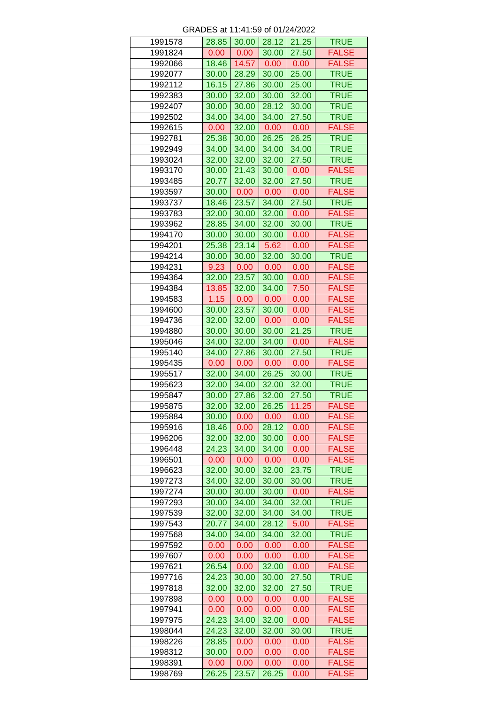| 1991578 | 28.85             | 30.00         | 28.12         | 21.25        | <b>TRUE</b>                  |
|---------|-------------------|---------------|---------------|--------------|------------------------------|
| 1991824 |                   |               |               |              |                              |
|         | 0.00              | 0.00          | 30.00         | 27.50        | <b>FALSE</b>                 |
| 1992066 | 18.46             | 14.57         | 0.00          | 0.00         | <b>FALSE</b>                 |
| 1992077 | 30.00             | 28.29         | 30.00         | 25.00        | <b>TRUE</b>                  |
| 1992112 | 16.15             | 27.86         | 30.00         | 25.00        | <b>TRUE</b>                  |
| 1992383 | 30.00             | 32.00         | 30.00         | 32.00        | <b>TRUE</b>                  |
| 1992407 | 30.00             | 30.00         | 28.12         | 30.00        | <b>TRUE</b>                  |
|         |                   |               |               |              |                              |
| 1992502 | 34.00             | 34.00         | 34.00         | 27.50        | <b>TRUE</b>                  |
| 1992615 | 0.00              | 32.00         | 0.00          | 0.00         | <b>FALSE</b>                 |
| 1992781 | 25.38             | 30.00         | 26.25         | 26.25        | <b>TRUE</b>                  |
| 1992949 | 34.00             | 34.00         | 34.00         | 34.00        | <b>TRUE</b>                  |
| 1993024 | 32.00             | 32.00         | 32.00         | 27.50        | <b>TRUE</b>                  |
| 1993170 | 30.00             | 21.43         | 30.00         | 0.00         | <b>FALSE</b>                 |
| 1993485 | 20.77             | 32.00         | 32.00         | 27.50        | <b>TRUE</b>                  |
|         |                   |               |               |              |                              |
| 1993597 | 30.00             | 0.00          | 0.00          | 0.00         | <b>FALSE</b>                 |
| 1993737 | 18.46             | 23.57         | 34.00         | 27.50        | <b>TRUE</b>                  |
| 1993783 | 32.00             | 30.00         | 32.00         | 0.00         | <b>FALSE</b>                 |
| 1993962 | 28.85             | 34.00         | 32.00         | 30.00        | <b>TRUE</b>                  |
| 1994170 | 30.00             | 30.00         | 30.00         | 0.00         | <b>FALSE</b>                 |
| 1994201 | 25.38             | 23.14         | 5.62          | 0.00         | <b>FALSE</b>                 |
|         |                   |               |               |              |                              |
| 1994214 | 30.00             | 30.00         | 32.00         | 30.00        | <b>TRUE</b>                  |
| 1994231 | 9.23              | 0.00          | 0.00          | 0.00         | <b>FALSE</b>                 |
| 1994364 | 32.00             | 23.57         | 30.00         | 0.00         | <b>FALSE</b>                 |
| 1994384 | 13.85             | 32.00         | 34.00         | 7.50         | <b>FALSE</b>                 |
| 1994583 | 1.15              | 0.00          | 0.00          | 0.00         | <b>FALSE</b>                 |
| 1994600 | 30.00             | 23.57         | 30.00         | 0.00         | <b>FALSE</b>                 |
|         |                   |               |               |              |                              |
| 1994736 | 32.00             | 32.00         | 0.00          | 0.00         | <b>FALSE</b>                 |
| 1994880 | 30.00             | 30.00         | 30.00         | 21.25        | <b>TRUE</b>                  |
| 1995046 | 34.00             | 32.00         | 34.00         | 0.00         | <b>FALSE</b>                 |
| 1995140 | 34.00             | 27.86         | 30.00         | 27.50        | <b>TRUE</b>                  |
| 1995435 | 0.00              | 0.00          | 0.00          | 0.00         | <b>FALSE</b>                 |
| 1995517 | 32.00             | 34.00         | 26.25         | 30.00        | <b>TRUE</b>                  |
|         |                   |               |               |              |                              |
| 1995623 | 32.00             | 34.00         | 32.00         | 32.00        | <b>TRUE</b>                  |
| 1995847 | 30.00             | 27.86         | 32.00         | 27.50        | <b>TRUE</b>                  |
| 1995875 | 32.00             | 32.00         | 26.25         | 11.25        | <b>FALSE</b>                 |
| 1995884 | 30.00             | 0.00          | 0.00          | 0.00         | <b>FALSE</b>                 |
| 1995916 | 18.46             | 0.00          | 28.12         | 0.00         | <b>FALSE</b>                 |
| 1996206 | 32.00             | 32.00         | 30.00         | 0.00         | <b>FALSE</b>                 |
| 1996448 | 24.23             | 34.00         | 34.00         | 0.00         | <b>FALSE</b>                 |
|         |                   |               |               |              |                              |
| 1996501 | 0.00              | 0.00          | 0.00          | 0.00         | <b>FALSE</b>                 |
| 1996623 | 32.00             | 30.00         | 32.00         | 23.75        | <b>TRUE</b>                  |
| 1997273 | 34.00             | 32.00         | 30.00         | 30.00        | <b>TRUE</b>                  |
| 1997274 | 30.00             | 30.00         | 30.00         | 0.00         | <b>FALSE</b>                 |
| 1997293 | 30.00             | 34.00         | 34.00         | 32.00        | <b>TRUE</b>                  |
| 1997539 | 32.00             | 32.00         | 34.00         | 34.00        | <b>TRUE</b>                  |
|         |                   |               |               |              |                              |
| 1997543 | 20.77             | 34.00         | 28.12         | 5.00         | <b>FALSE</b>                 |
| 1997568 | 34.00             | 34.00         | 34.00         | 32.00        | <b>TRUE</b>                  |
| 1997592 | 0.00              | 0.00          | 0.00          | 0.00         | <b>FALSE</b>                 |
| 1997607 | 0.00              | 0.00          | 0.00          | 0.00         | <b>FALSE</b>                 |
| 1997621 | 26.54             | 0.00          | 32.00         | 0.00         | <b>FALSE</b>                 |
| 1997716 | 24.23             | 30.00         | 30.00         | 27.50        | <b>TRUE</b>                  |
| 1997818 | 32.00             | 32.00         | 32.00         | 27.50        | <b>TRUE</b>                  |
|         |                   |               |               |              |                              |
| 1997898 | 0.00 <sub>1</sub> | 0.00          | 0.00          | 0.00         | <b>FALSE</b>                 |
| 1997941 | 0.00              | 0.00          | 0.00          | 0.00         | <b>FALSE</b>                 |
| 1997975 | 24.23             | 34.00         | 32.00         | 0.00         | <b>FALSE</b>                 |
| 1998044 | 24.23             | 32.00         | 32.00         | 30.00        | <b>TRUE</b>                  |
| 1998226 | 28.85             | 0.00          | 0.00          | 0.00         | <b>FALSE</b>                 |
| 1998312 | 30.00             | 0.00          | 0.00          | 0.00         | <b>FALSE</b>                 |
|         |                   |               |               |              |                              |
| 1998391 | 0.00              | 0.00<br>23.57 | 0.00<br>26.25 | 0.00<br>0.00 | <b>FALSE</b><br><b>FALSE</b> |
| 1998769 | 26.25             |               |               |              |                              |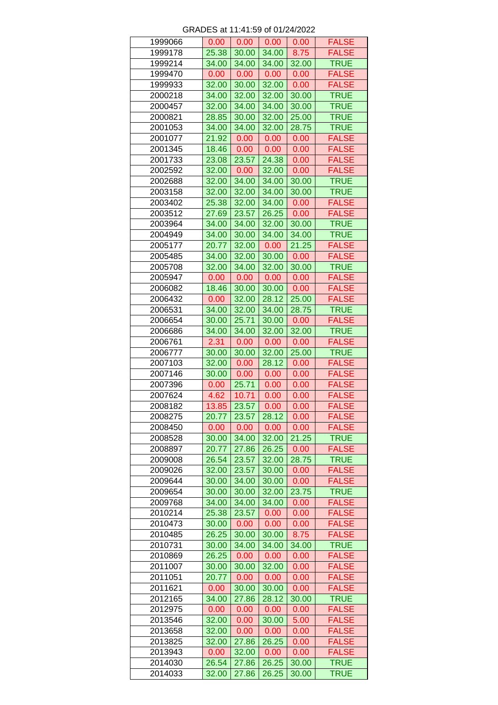| 1999066 | 0.00  | 0.00  | 0.00  | 0.00  | <b>FALSE</b> |
|---------|-------|-------|-------|-------|--------------|
| 1999178 | 25.38 | 30.00 | 34.00 | 8.75  | <b>FALSE</b> |
| 1999214 | 34.00 | 34.00 | 34.00 | 32.00 | <b>TRUE</b>  |
| 1999470 | 0.00  | 0.00  | 0.00  | 0.00  | <b>FALSE</b> |
| 1999933 | 32.00 | 30.00 | 32.00 | 0.00  | <b>FALSE</b> |
| 2000218 | 34.00 | 32.00 | 32.00 | 30.00 | <b>TRUE</b>  |
| 2000457 | 32.00 | 34.00 | 34.00 | 30.00 | <b>TRUE</b>  |
| 2000821 | 28.85 | 30.00 | 32.00 | 25.00 | <b>TRUE</b>  |
| 2001053 | 34.00 | 34.00 | 32.00 | 28.75 | <b>TRUE</b>  |
| 2001077 | 21.92 | 0.00  | 0.00  | 0.00  | <b>FALSE</b> |
| 2001345 |       | 0.00  | 0.00  | 0.00  | <b>FALSE</b> |
|         | 18.46 |       |       |       |              |
| 2001733 | 23.08 | 23.57 | 24.38 | 0.00  | <b>FALSE</b> |
| 2002592 | 32.00 | 0.00  | 32.00 | 0.00  | <b>FALSE</b> |
| 2002688 | 32.00 | 34.00 | 34.00 | 30.00 | <b>TRUE</b>  |
| 2003158 | 32.00 | 32.00 | 34.00 | 30.00 | <b>TRUE</b>  |
| 2003402 | 25.38 | 32.00 | 34.00 | 0.00  | <b>FALSE</b> |
| 2003512 | 27.69 | 23.57 | 26.25 | 0.00  | <b>FALSE</b> |
| 2003964 | 34.00 | 34.00 | 32.00 | 30.00 | <b>TRUE</b>  |
| 2004949 | 34.00 | 30.00 | 34.00 | 34.00 | <b>TRUE</b>  |
| 2005177 | 20.77 | 32.00 | 0.00  | 21.25 | <b>FALSE</b> |
| 2005485 | 34.00 | 32.00 | 30.00 | 0.00  | <b>FALSE</b> |
| 2005708 | 32.00 | 34.00 | 32.00 | 30.00 | <b>TRUE</b>  |
| 2005947 | 0.00  | 0.00  | 0.00  | 0.00  | <b>FALSE</b> |
| 2006082 | 18.46 | 30.00 | 30.00 | 0.00  | <b>FALSE</b> |
| 2006432 | 0.00  | 32.00 | 28.12 | 25.00 | <b>FALSE</b> |
| 2006531 | 34.00 | 32.00 | 34.00 | 28.75 | <b>TRUE</b>  |
|         |       |       |       |       |              |
| 2006654 | 30.00 | 25.71 | 30.00 | 0.00  | <b>FALSE</b> |
| 2006686 | 34.00 | 34.00 | 32.00 | 32.00 | <b>TRUE</b>  |
| 2006761 | 2.31  | 0.00  | 0.00  | 0.00  | <b>FALSE</b> |
| 2006777 | 30.00 | 30.00 | 32.00 | 25.00 | <b>TRUE</b>  |
| 2007103 | 32.00 | 0.00  | 28.12 | 0.00  | <b>FALSE</b> |
| 2007146 | 30.00 | 0.00  | 0.00  | 0.00  | <b>FALSE</b> |
| 2007396 | 0.00  | 25.71 | 0.00  | 0.00  | <b>FALSE</b> |
| 2007624 | 4.62  | 10.71 | 0.00  | 0.00  | <b>FALSE</b> |
| 2008182 | 13.85 | 23.57 | 0.00  | 0.00  | <b>FALSE</b> |
| 2008275 | 20.77 | 23.57 | 28.12 | 0.00  | <b>FALSE</b> |
| 2008450 | 0.00  | 0.00  | 0.00  | 0.00  | <b>FALSE</b> |
| 2008528 | 30.00 | 34.00 | 32.00 | 21.25 | <b>TRUE</b>  |
| 2008897 | 20.77 | 27.86 | 26.25 | 0.00  | <b>FALSE</b> |
| 2009008 | 26.54 | 23.57 | 32.00 | 28.75 | <b>TRUE</b>  |
| 2009026 | 32.00 | 23.57 | 30.00 | 0.00  | <b>FALSE</b> |
|         |       |       |       |       |              |
| 2009644 | 30.00 | 34.00 | 30.00 | 0.00  | <b>FALSE</b> |
| 2009654 | 30.00 | 30.00 | 32.00 | 23.75 | <b>TRUE</b>  |
| 2009768 | 34.00 | 34.00 | 34.00 | 0.00  | <b>FALSE</b> |
| 2010214 | 25.38 | 23.57 | 0.00  | 0.00  | <b>FALSE</b> |
| 2010473 | 30.00 | 0.00  | 0.00  | 0.00  | <b>FALSE</b> |
| 2010485 | 26.25 | 30.00 | 30.00 | 8.75  | <b>FALSE</b> |
| 2010731 | 30.00 | 34.00 | 34.00 | 34.00 | <b>TRUE</b>  |
| 2010869 | 26.25 | 0.00  | 0.00  | 0.00  | <b>FALSE</b> |
| 2011007 | 30.00 | 30.00 | 32.00 | 0.00  | <b>FALSE</b> |
| 2011051 | 20.77 | 0.00  | 0.00  | 0.00  | <b>FALSE</b> |
| 2011621 | 0.00  | 30.00 | 30.00 | 0.00  | <b>FALSE</b> |
| 2012165 | 34.00 | 27.86 | 28.12 | 30.00 | <b>TRUE</b>  |
| 2012975 | 0.00  | 0.00  | 0.00  | 0.00  | <b>FALSE</b> |
| 2013546 | 32.00 | 0.00  | 30.00 | 5.00  | <b>FALSE</b> |
| 2013658 | 32.00 | 0.00  | 0.00  | 0.00  | <b>FALSE</b> |
| 2013825 | 32.00 | 27.86 | 26.25 | 0.00  | <b>FALSE</b> |
| 2013943 |       |       |       | 0.00  | <b>FALSE</b> |
|         | 0.00  | 32.00 | 0.00  |       |              |
| 2014030 | 26.54 | 27.86 | 26.25 | 30.00 | <b>TRUE</b>  |
| 2014033 | 32.00 | 27.86 | 26.25 | 30.00 | <b>TRUE</b>  |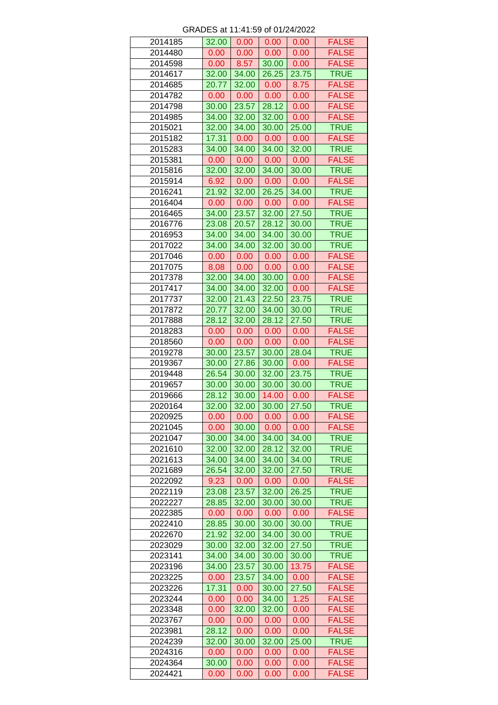| 2014185 | 32.00 | 0.00              | 0.00              | 0.00  | <b>FALSE</b> |
|---------|-------|-------------------|-------------------|-------|--------------|
| 2014480 | 0.00  | 0.00              | 0.00              | 0.00  | <b>FALSE</b> |
| 2014598 | 0.00  | 8.57              | 30.00             | 0.00  | <b>FALSE</b> |
| 2014617 | 32.00 | 34.00             | 26.25             | 23.75 | <b>TRUE</b>  |
| 2014685 | 20.77 | 32.00             | 0.00              | 8.75  | <b>FALSE</b> |
| 2014782 | 0.00  | 0.00 <sub>1</sub> | 0.00              | 0.00  | <b>FALSE</b> |
| 2014798 | 30.00 | 23.57             | 28.12             | 0.00  | <b>FALSE</b> |
| 2014985 | 34.00 | 32.00             | 32.00             | 0.00  | <b>FALSE</b> |
| 2015021 | 32.00 | 34.00             | 30.00             | 25.00 | <b>TRUE</b>  |
| 2015182 | 17.31 | 0.00              | 0.00              | 0.00  | <b>FALSE</b> |
| 2015283 | 34.00 | 34.00             | 34.00             | 32.00 | <b>TRUE</b>  |
| 2015381 | 0.00  | 0.00 <sub>1</sub> | 0.00 <sub>1</sub> | 0.00  | <b>FALSE</b> |
| 2015816 | 32.00 | 32.00             | 34.00             | 30.00 | <b>TRUE</b>  |
| 2015914 | 6.92  | 0.00 <sub>1</sub> | 0.00              | 0.00  | <b>FALSE</b> |
| 2016241 | 21.92 | 32.00             | 26.25             | 34.00 | <b>TRUE</b>  |
| 2016404 | 0.00  | 0.00              | 0.00              | 0.00  | <b>FALSE</b> |
| 2016465 | 34.00 | 23.57             | 32.00             | 27.50 | <b>TRUE</b>  |
| 2016776 | 23.08 | 20.57             | 28.12             | 30.00 | <b>TRUE</b>  |
| 2016953 | 34.00 | 34.00             | 34.00             | 30.00 | <b>TRUE</b>  |
| 2017022 | 34.00 | 34.00             | 32.00             | 30.00 | <b>TRUE</b>  |
| 2017046 | 0.00  | 0.00              | 0.00              | 0.00  | <b>FALSE</b> |
| 2017075 |       |                   |                   |       |              |
|         | 8.08  | 0.00              | 0.00              | 0.00  | <b>FALSE</b> |
| 2017378 | 32.00 | 34.00             | 30.00             | 0.00  | <b>FALSE</b> |
| 2017417 | 34.00 | 34.00             | 32.00             | 0.00  | <b>FALSE</b> |
| 2017737 | 32.00 | 21.43             | 22.50             | 23.75 | <b>TRUE</b>  |
| 2017872 | 20.77 | 32.00             | 34.00             | 30.00 | <b>TRUE</b>  |
| 2017888 | 28.12 | 32.00             | 28.12             | 27.50 | <b>TRUE</b>  |
| 2018283 | 0.00  | 0.00              | 0.00              | 0.00  | <b>FALSE</b> |
| 2018560 | 0.00  | 0.00              | 0.00              | 0.00  | <b>FALSE</b> |
| 2019278 | 30.00 | 23.57             | 30.00             | 28.04 | <b>TRUE</b>  |
| 2019367 | 30.00 | 27.86             | 30.00             | 0.00  | <b>FALSE</b> |
| 2019448 | 26.54 | 30.00             | 32.00             | 23.75 | <b>TRUE</b>  |
| 2019657 | 30.00 | 30.00             | 30.00             | 30.00 | <b>TRUE</b>  |
| 2019666 | 28.12 | 30.00             | 14.00             | 0.00  | <b>FALSE</b> |
| 2020164 | 32.00 | 32.00             | 30.00             | 27.50 | <b>TRUE</b>  |
| 2020925 | 0.00  | 0.00              | 0.00              | 0.00  | <b>FALSE</b> |
| 2021045 | 0.00  | 30.00             | 0.00              | 0.00  | <b>FALSE</b> |
| 2021047 | 30.00 | 34.00             | 34.00             | 34.00 | <b>TRUE</b>  |
| 2021610 | 32.00 | 32.00             | 28.12             | 32.00 | <b>TRUE</b>  |
| 2021613 | 34.00 | 34.00             | 34.00             | 34.00 | <b>TRUE</b>  |
| 2021689 | 26.54 | 32.00             | 32.00             | 27.50 | <b>TRUE</b>  |
| 2022092 | 9.23  | 0.00 <sub>1</sub> | 0.00              | 0.00  | <b>FALSE</b> |
| 2022119 | 23.08 | 23.57             | 32.00             | 26.25 | <b>TRUE</b>  |
| 2022227 | 28.85 | 32.00             | 30.00             | 30.00 | <b>TRUE</b>  |
| 2022385 | 0.00  | 0.00              | 0.00              | 0.00  | <b>FALSE</b> |
| 2022410 | 28.85 | 30.00             | 30.00             | 30.00 | <b>TRUE</b>  |
| 2022670 | 21.92 | 32.00             | 34.00             | 30.00 | <b>TRUE</b>  |
| 2023029 | 30.00 | 32.00             | 32.00             | 27.50 | <b>TRUE</b>  |
| 2023141 | 34.00 | 34.00             | 30.00             | 30.00 | <b>TRUE</b>  |
| 2023196 | 34.00 | 23.57             | 30.00             | 13.75 | <b>FALSE</b> |
| 2023225 | 0.00  | 23.57             | 34.00             | 0.00  | <b>FALSE</b> |
| 2023226 | 17.31 | 0.00              | 30.00             | 27.50 | <b>FALSE</b> |
| 2023244 | 0.00  | 0.00              | 34.00             | 1.25  | <b>FALSE</b> |
| 2023348 | 0.00  | 32.00             | 32.00             | 0.00  | <b>FALSE</b> |
| 2023767 | 0.00  | 0.00              | 0.00              | 0.00  | <b>FALSE</b> |
| 2023981 | 28.12 | 0.00              | 0.00              | 0.00  | <b>FALSE</b> |
| 2024239 | 32.00 | 30.00             | 32.00             | 25.00 | <b>TRUE</b>  |
|         |       |                   |                   |       |              |
| 2024316 | 0.00  | 0.00              | 0.00              | 0.00  | <b>FALSE</b> |
| 2024364 | 30.00 | 0.00              | 0.00              | 0.00  | <b>FALSE</b> |
| 2024421 | 0.00  | 0.00              | 0.00              | 0.00  | <b>FALSE</b> |